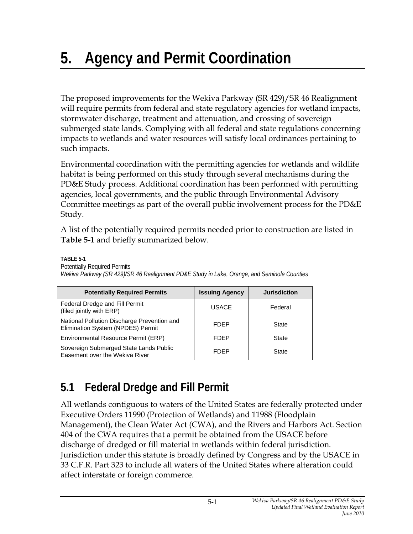# **5. Agency and Permit Coordination**

The proposed improvements for the Wekiva Parkway (SR 429)/SR 46 Realignment will require permits from federal and state regulatory agencies for wetland impacts, stormwater discharge, treatment and attenuation, and crossing of sovereign submerged state lands. Complying with all federal and state regulations concerning impacts to wetlands and water resources will satisfy local ordinances pertaining to such impacts.

Environmental coordination with the permitting agencies for wetlands and wildlife habitat is being performed on this study through several mechanisms during the PD&E Study process. Additional coordination has been performed with permitting agencies, local governments, and the public through Environmental Advisory Committee meetings as part of the overall public involvement process for the PD&E Study.

A list of the potentially required permits needed prior to construction are listed in **Table 5-1** and briefly summarized below.

**TABLE 5-1** 

Potentially Required Permits

| <b>Potentially Required Permits</b>                                              | <b>Issuing Agency</b> | <b>Jurisdiction</b> |
|----------------------------------------------------------------------------------|-----------------------|---------------------|
| Federal Dredge and Fill Permit<br>(filed jointly with ERP)                       | <b>USACE</b>          | Federal             |
| National Pollution Discharge Prevention and<br>Elimination System (NPDES) Permit | <b>FDEP</b>           | State               |
| Environmental Resource Permit (ERP)                                              | FDEP                  | State               |
| Sovereign Submerged State Lands Public<br>Easement over the Wekiva River         | <b>FDEP</b>           | State               |

*Wekiva Parkway (SR 429)/SR 46 Realignment PD&E Study in Lake, Orange, and Seminole Counties* 

# **5.1 Federal Dredge and Fill Permit**

All wetlands contiguous to waters of the United States are federally protected under Executive Orders 11990 (Protection of Wetlands) and 11988 (Floodplain Management), the Clean Water Act (CWA), and the Rivers and Harbors Act. Section 404 of the CWA requires that a permit be obtained from the USACE before discharge of dredged or fill material in wetlands within federal jurisdiction. Jurisdiction under this statute is broadly defined by Congress and by the USACE in 33 C.F.R. Part 323 to include all waters of the United States where alteration could affect interstate or foreign commerce.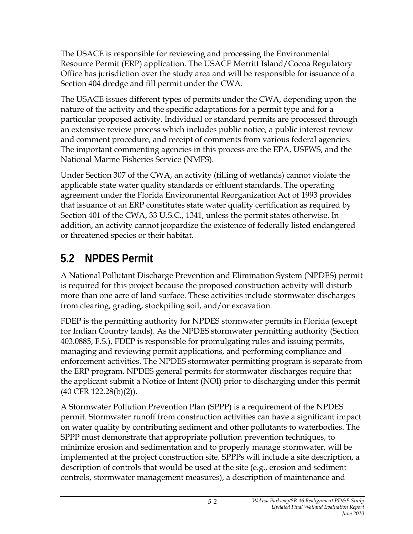The USACE is responsible for reviewing and processing the Environmental Resource Permit (ERP) application. The USACE Merritt Island/Cocoa Regulatory Office has jurisdiction over the study area and will be responsible for issuance of a Section 404 dredge and fill permit under the CWA.

The USACE issues different types of permits under the CWA, depending upon the nature of the activity and the specific adaptations for a permit type and for a particular proposed activity. Individual or standard permits are processed through an extensive review process which includes public notice, a public interest review and comment procedure, and receipt of comments from various federal agencies. The important commenting agencies in this process are the EPA, USFWS, and the National Marine Fisheries Service (NMFS).

Under Section 307 of the CWA, an activity (filling of wetlands) cannot violate the applicable state water quality standards or effluent standards. The operating agreement under the Florida Environmental Reorganization Act of 1993 provides that issuance of an ERP constitutes state water quality certification as required by Section 401 of the CWA, 33 U.S.C., 1341, unless the permit states otherwise. In addition, an activity cannot jeopardize the existence of federally listed endangered or threatened species or their habitat.

## **5.2 NPDES Permit**

A National Pollutant Discharge Prevention and Elimination System (NPDES) permit is required for this project because the proposed construction activity will disturb more than one acre of land surface. These activities include stormwater discharges from clearing, grading, stockpiling soil, and/or excavation.

FDEP is the permitting authority for NPDES stormwater permits in Florida (except for Indian Country lands). As the NPDES stormwater permitting authority (Section 403.0885, F.S.), FDEP is responsible for promulgating rules and issuing permits, managing and reviewing permit applications, and performing compliance and enforcement activities. The NPDES stormwater permitting program is separate from the ERP program. NPDES general permits for stormwater discharges require that the applicant submit a Notice of Intent (NOI) prior to discharging under this permit (40 CFR 122.28(b)(2)).

A Stormwater Pollution Prevention Plan (SPPP) is a requirement of the NPDES permit. Stormwater runoff from construction activities can have a significant impact on water quality by contributing sediment and other pollutants to waterbodies. The SPPP must demonstrate that appropriate pollution prevention techniques, to minimize erosion and sedimentation and to properly manage stormwater, will be implemented at the project construction site. SPPPs will include a site description, a description of controls that would be used at the site (e.g., erosion and sediment controls, stormwater management measures), a description of maintenance and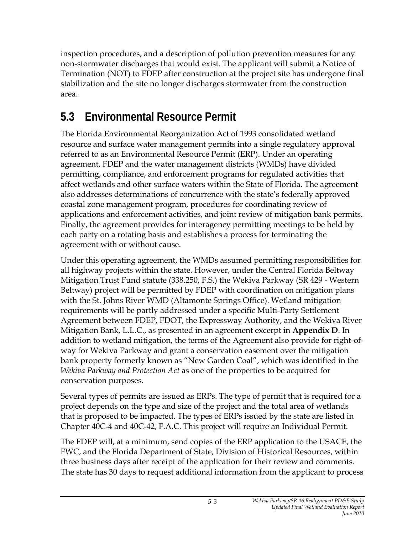inspection procedures, and a description of pollution prevention measures for any non-stormwater discharges that would exist. The applicant will submit a Notice of Termination (NOT) to FDEP after construction at the project site has undergone final stabilization and the site no longer discharges stormwater from the construction area.

### **5.3 Environmental Resource Permit**

The Florida Environmental Reorganization Act of 1993 consolidated wetland resource and surface water management permits into a single regulatory approval referred to as an Environmental Resource Permit (ERP). Under an operating agreement, FDEP and the water management districts (WMDs) have divided permitting, compliance, and enforcement programs for regulated activities that affect wetlands and other surface waters within the State of Florida. The agreement also addresses determinations of concurrence with the state's federally approved coastal zone management program, procedures for coordinating review of applications and enforcement activities, and joint review of mitigation bank permits. Finally, the agreement provides for interagency permitting meetings to be held by each party on a rotating basis and establishes a process for terminating the agreement with or without cause.

Under this operating agreement, the WMDs assumed permitting responsibilities for all highway projects within the state. However, under the Central Florida Beltway Mitigation Trust Fund statute (338.250, F.S.) the Wekiva Parkway (SR 429 - Western Beltway) project will be permitted by FDEP with coordination on mitigation plans with the St. Johns River WMD (Altamonte Springs Office). Wetland mitigation requirements will be partly addressed under a specific Multi-Party Settlement Agreement between FDEP, FDOT, the Expressway Authority, and the Wekiva River Mitigation Bank, L.L.C., as presented in an agreement excerpt in **Appendix D**. In addition to wetland mitigation, the terms of the Agreement also provide for right-ofway for Wekiva Parkway and grant a conservation easement over the mitigation bank property formerly known as "New Garden Coal", which was identified in the *Wekiva Parkway and Protection Act* as one of the properties to be acquired for conservation purposes.

Several types of permits are issued as ERPs. The type of permit that is required for a project depends on the type and size of the project and the total area of wetlands that is proposed to be impacted. The types of ERPs issued by the state are listed in Chapter 40C-4 and 40C-42, F.A.C. This project will require an Individual Permit.

The FDEP will, at a minimum, send copies of the ERP application to the USACE, the FWC, and the Florida Department of State, Division of Historical Resources, within three business days after receipt of the application for their review and comments. The state has 30 days to request additional information from the applicant to process